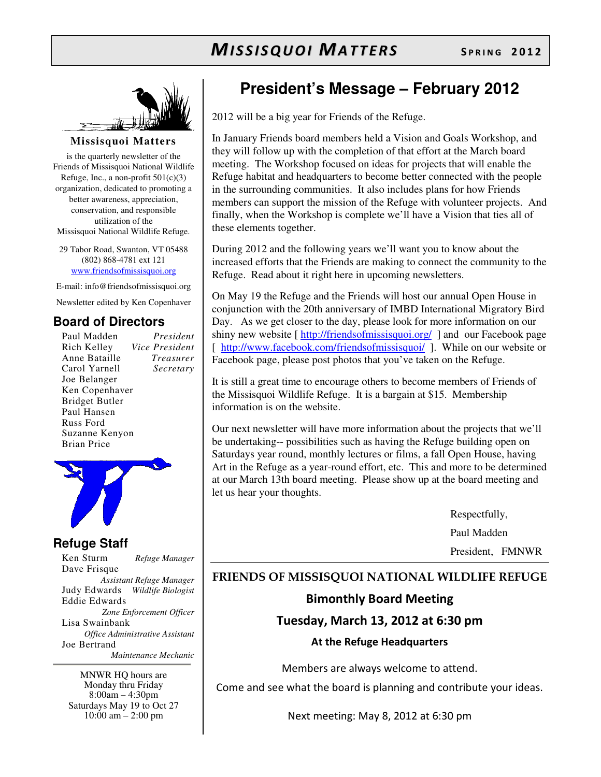

**Missisquoi Matters** 

is the quarterly newsletter of the Friends of Missisquoi National Wildlife Refuge, Inc., a non-profit  $501(c)(3)$ organization, dedicated to promoting a better awareness, appreciation, conservation, and responsible utilization of the Missisquoi National Wildlife Refuge.

29 Tabor Road, Swanton, VT 05488 (802) 868-4781 ext 121 www.friendsofmissisquoi.org

E-mail: info@friendsofmissisquoi.org

Newsletter edited by Ken Copenhaver

#### **Board of Directors**

Paul Madden *President* Rich Kelley *Vice President* Anne Bataille *Treasurer* Carol Yarnell *Secretary*  Joe Belanger Ken Copenhaver Bridget Butler Paul Hansen Russ Ford Suzanne Kenyon Brian Price



#### **Refuge Staff**

Ken Sturm *Refuge Manager* Dave Frisque *Assistant Refuge Manager* Judy Edwards *Wildlife Biologist* Eddie Edwards *Zone Enforcement Officer* Lisa Swainbank *Office Administrative Assistant*  Joe Bertrand  *Maintenance Mechanic*

MNWR HQ hours are Monday thru Friday 8:00am – 4:30pm Saturdays May 19 to Oct 27  $10:00$  am  $- 2:00$  pm

# **President's Message – February 2012**

2012 will be a big year for Friends of the Refuge.

In January Friends board members held a Vision and Goals Workshop, and they will follow up with the completion of that effort at the March board meeting. The Workshop focused on ideas for projects that will enable the Refuge habitat and headquarters to become better connected with the people in the surrounding communities. It also includes plans for how Friends members can support the mission of the Refuge with volunteer projects. And finally, when the Workshop is complete we'll have a Vision that ties all of these elements together.

During 2012 and the following years we'll want you to know about the increased efforts that the Friends are making to connect the community to the Refuge. Read about it right here in upcoming newsletters.

On May 19 the Refuge and the Friends will host our annual Open House in conjunction with the 20th anniversary of IMBD International Migratory Bird Day. As we get closer to the day, please look for more information on our shiny new website [ http://friendsofmissisquoi.org/ ] and our Facebook page [ http://www.facebook.com/friendsofmissisquoi/ ]. While on our website or Facebook page, please post photos that you've taken on the Refuge.

It is still a great time to encourage others to become members of Friends of the Missisquoi Wildlife Refuge. It is a bargain at \$15. Membership information is on the website.

Our next newsletter will have more information about the projects that we'll be undertaking-- possibilities such as having the Refuge building open on Saturdays year round, monthly lectures or films, a fall Open House, having Art in the Refuge as a year-round effort, etc. This and more to be determined at our March 13th board meeting. Please show up at the board meeting and let us hear your thoughts.

> Respectfully, Paul Madden President, FMNWR

#### FRIENDS OF MISSISQUOI NATIONAL WILDLIFE REFUGE

#### Bimonthly Board Meeting

### Tuesday, March 13, 2012 at 6:30 pm

#### At the Refuge Headquarters

Members are always welcome to attend.

Come and see what the board is planning and contribute your ideas.

Next meeting: May 8, 2012 at 6:30 pm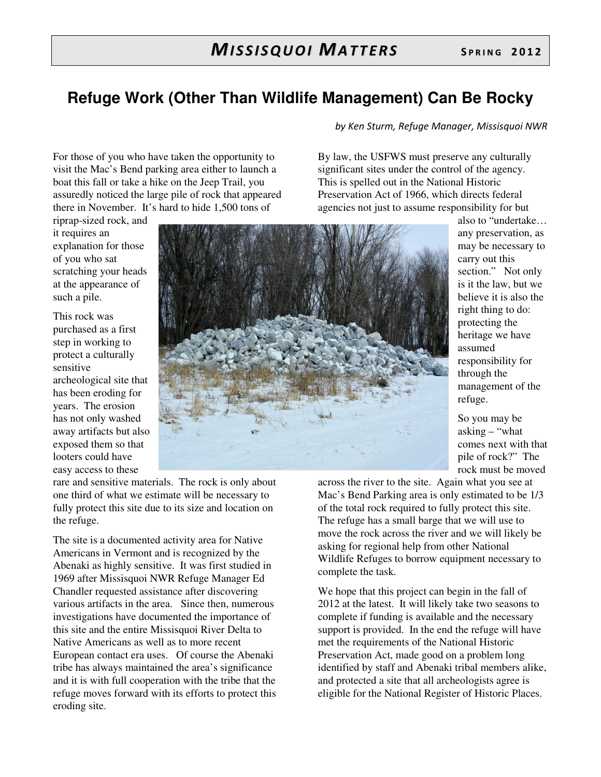# **Refuge Work (Other Than Wildlife Management) Can Be Rocky**

by Ken Sturm, Refuge Manager, Missisquoi NWR

By law, the USFWS must preserve any culturally significant sites under the control of the agency. This is spelled out in the National Historic Preservation Act of 1966, which directs federal

For those of you who have taken the opportunity to visit the Mac's Bend parking area either to launch a boat this fall or take a hike on the Jeep Trail, you assuredly noticed the large pile of rock that appeared there in November. It's hard to hide 1,500 tons of

riprap-sized rock, and it requires an explanation for those of you who sat scratching your heads at the appearance of such a pile.

This rock was purchased as a first step in working to protect a culturally sensitive archeological site that has been eroding for years. The erosion has not only washed away artifacts but also exposed them so that looters could have easy access to these



rare and sensitive materials. The rock is only about one third of what we estimate will be necessary to fully protect this site due to its size and location on the refuge.

The site is a documented activity area for Native Americans in Vermont and is recognized by the Abenaki as highly sensitive. It was first studied in 1969 after Missisquoi NWR Refuge Manager Ed Chandler requested assistance after discovering various artifacts in the area. Since then, numerous investigations have documented the importance of this site and the entire Missisquoi River Delta to Native Americans as well as to more recent European contact era uses. Of course the Abenaki tribe has always maintained the area's significance and it is with full cooperation with the tribe that the refuge moves forward with its efforts to protect this eroding site.

agencies not just to assume responsibility for but also to "undertake… any preservation, as may be necessary to carry out this section." Not only is it the law, but we believe it is also the right thing to do: protecting the heritage we have assumed responsibility for through the

> refuge. So you may be asking – "what comes next with that pile of rock?" The rock must be moved

management of the

across the river to the site. Again what you see at Mac's Bend Parking area is only estimated to be 1/3 of the total rock required to fully protect this site. The refuge has a small barge that we will use to move the rock across the river and we will likely be asking for regional help from other National Wildlife Refuges to borrow equipment necessary to complete the task.

We hope that this project can begin in the fall of 2012 at the latest. It will likely take two seasons to complete if funding is available and the necessary support is provided. In the end the refuge will have met the requirements of the National Historic Preservation Act, made good on a problem long identified by staff and Abenaki tribal members alike, and protected a site that all archeologists agree is eligible for the National Register of Historic Places.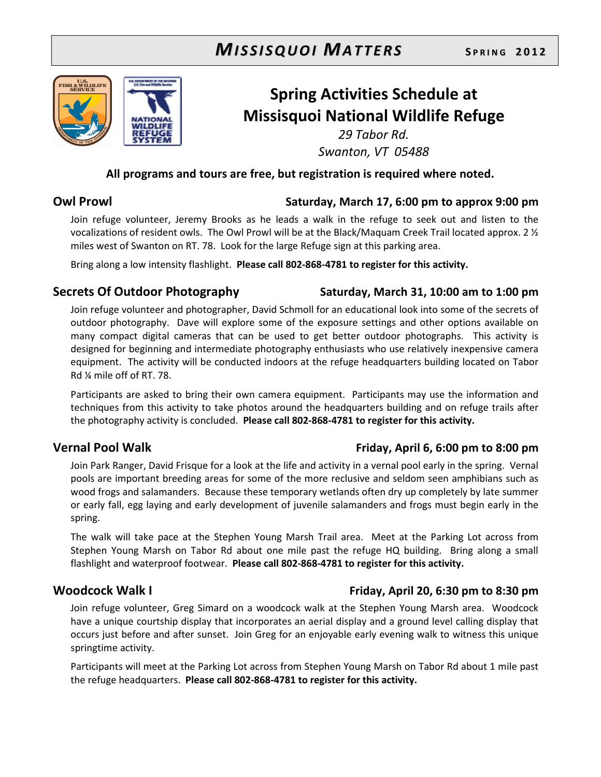

# Spring Activities Schedule at Missisquoi National Wildlife Refuge

29 Tabor Rd. Swanton, VT 05488

#### All programs and tours are free, but registration is required where noted.

#### Owl Prowl Saturday, March 17, 6:00 pm to approx 9:00 pm

Join refuge volunteer, Jeremy Brooks as he leads a walk in the refuge to seek out and listen to the vocalizations of resident owls. The Owl Prowl will be at the Black/Maquam Creek Trail located approx. 2 ½ miles west of Swanton on RT. 78. Look for the large Refuge sign at this parking area.

Bring along a low intensity flashlight. Please call 802-868-4781 to register for this activity.

### Secrets Of Outdoor Photography Saturday, March 31, 10:00 am to 1:00 pm

#### Join refuge volunteer and photographer, David Schmoll for an educational look into some of the secrets of outdoor photography. Dave will explore some of the exposure settings and other options available on many compact digital cameras that can be used to get better outdoor photographs. This activity is designed for beginning and intermediate photography enthusiasts who use relatively inexpensive camera equipment. The activity will be conducted indoors at the refuge headquarters building located on Tabor Rd ¼ mile off of RT. 78.

Participants are asked to bring their own camera equipment. Participants may use the information and techniques from this activity to take photos around the headquarters building and on refuge trails after the photography activity is concluded. Please call 802-868-4781 to register for this activity.

#### Join Park Ranger, David Frisque for a look at the life and activity in a vernal pool early in the spring. Vernal pools are important breeding areas for some of the more reclusive and seldom seen amphibians such as wood frogs and salamanders. Because these temporary wetlands often dry up completely by late summer or early fall, egg laying and early development of juvenile salamanders and frogs must begin early in the spring.

The walk will take pace at the Stephen Young Marsh Trail area. Meet at the Parking Lot across from Stephen Young Marsh on Tabor Rd about one mile past the refuge HQ building. Bring along a small flashlight and waterproof footwear. Please call 802-868-4781 to register for this activity.

# Woodcock Walk I **Example 20, 1999** Friday, April 20, 6:30 pm to 8:30 pm

Join refuge volunteer, Greg Simard on a woodcock walk at the Stephen Young Marsh area. Woodcock have a unique courtship display that incorporates an aerial display and a ground level calling display that occurs just before and after sunset. Join Greg for an enjoyable early evening walk to witness this unique springtime activity.

Participants will meet at the Parking Lot across from Stephen Young Marsh on Tabor Rd about 1 mile past the refuge headquarters. Please call 802-868-4781 to register for this activity.

### Vernal Pool Walk **Friday, April 6, 6:00 pm to 8:00 pm**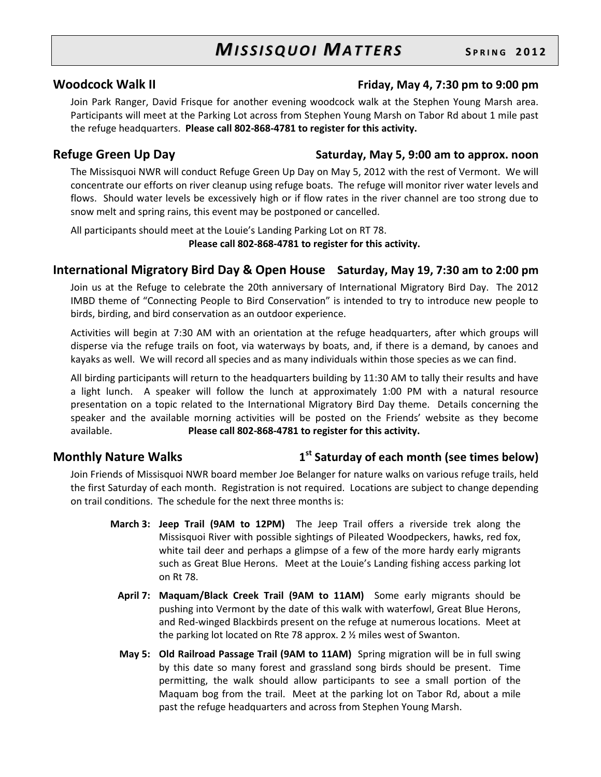#### Woodcock Walk II **Example 20 and Triday**, May 4, 7:30 pm to 9:00 pm

Join Park Ranger, David Frisque for another evening woodcock walk at the Stephen Young Marsh area. Participants will meet at the Parking Lot across from Stephen Young Marsh on Tabor Rd about 1 mile past the refuge headquarters. Please call 802-868-4781 to register for this activity.

#### Refuge Green Up Day Network Saturday, May 5, 9:00 am to approx. noon

The Missisquoi NWR will conduct Refuge Green Up Day on May 5, 2012 with the rest of Vermont. We will concentrate our efforts on river cleanup using refuge boats. The refuge will monitor river water levels and flows. Should water levels be excessively high or if flow rates in the river channel are too strong due to snow melt and spring rains, this event may be postponed or cancelled.

All participants should meet at the Louie's Landing Parking Lot on RT 78. Please call 802-868-4781 to register for this activity.

#### International Migratory Bird Day & Open House Saturday, May 19, 7:30 am to 2:00 pm

Join us at the Refuge to celebrate the 20th anniversary of International Migratory Bird Day. The 2012 IMBD theme of "Connecting People to Bird Conservation" is intended to try to introduce new people to birds, birding, and bird conservation as an outdoor experience.

Activities will begin at 7:30 AM with an orientation at the refuge headquarters, after which groups will disperse via the refuge trails on foot, via waterways by boats, and, if there is a demand, by canoes and kayaks as well. We will record all species and as many individuals within those species as we can find.

All birding participants will return to the headquarters building by 11:30 AM to tally their results and have a light lunch. A speaker will follow the lunch at approximately 1:00 PM with a natural resource presentation on a topic related to the International Migratory Bird Day theme. Details concerning the speaker and the available morning activities will be posted on the Friends' website as they become available. Please call 802-868-4781 to register for this activity.

### Monthly Nature Walks 1

### $1<sup>st</sup>$  Saturday of each month (see times below)

Join Friends of Missisquoi NWR board member Joe Belanger for nature walks on various refuge trails, held the first Saturday of each month. Registration is not required. Locations are subject to change depending on trail conditions. The schedule for the next three months is:

- March 3: Jeep Trail (9AM to 12PM) The Jeep Trail offers a riverside trek along the Missisquoi River with possible sightings of Pileated Woodpeckers, hawks, red fox, white tail deer and perhaps a glimpse of a few of the more hardy early migrants such as Great Blue Herons. Meet at the Louie's Landing fishing access parking lot on Rt 78.
	- April 7: Maquam/Black Creek Trail (9AM to 11AM) Some early migrants should be pushing into Vermont by the date of this walk with waterfowl, Great Blue Herons, and Red-winged Blackbirds present on the refuge at numerous locations. Meet at the parking lot located on Rte 78 approx. 2 ½ miles west of Swanton.
	- May 5: Old Railroad Passage Trail (9AM to 11AM) Spring migration will be in full swing by this date so many forest and grassland song birds should be present. Time permitting, the walk should allow participants to see a small portion of the Maquam bog from the trail. Meet at the parking lot on Tabor Rd, about a mile past the refuge headquarters and across from Stephen Young Marsh.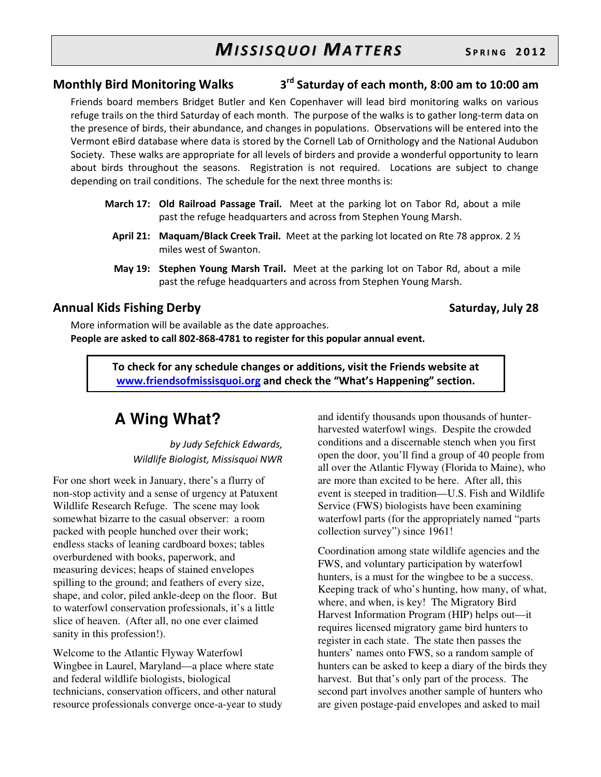#### Monthly Bird Monitoring Walks 3 3<sup>rd</sup> Saturday of each month, 8:00 am to 10:00 am

Friends board members Bridget Butler and Ken Copenhaver will lead bird monitoring walks on various refuge trails on the third Saturday of each month. The purpose of the walks is to gather long-term data on the presence of birds, their abundance, and changes in populations. Observations will be entered into the Vermont eBird database where data is stored by the Cornell Lab of Ornithology and the National Audubon Society. These walks are appropriate for all levels of birders and provide a wonderful opportunity to learn about birds throughout the seasons. Registration is not required. Locations are subject to change depending on trail conditions. The schedule for the next three months is:

- March 17: Old Railroad Passage Trail. Meet at the parking lot on Tabor Rd, about a mile past the refuge headquarters and across from Stephen Young Marsh.
	- April 21: Maquam/Black Creek Trail. Meet at the parking lot located on Rte 78 approx. 2  $\frac{1}{2}$ miles west of Swanton.
	- May 19: Stephen Young Marsh Trail. Meet at the parking lot on Tabor Rd, about a mile past the refuge headquarters and across from Stephen Young Marsh.

#### Annual Kids Fishing Derby Saturday, July 28

More information will be available as the date approaches. People are asked to call 802-868-4781 to register for this popular annual event.

> To check for any schedule changes or additions, visit the Friends website at www.friendsofmissisquoi.org and check the "What's Happening" section.

# **A Wing What?**

by Judy Sefchick Edwards, Wildlife Biologist, Missisquoi NWR

For one short week in January, there's a flurry of non-stop activity and a sense of urgency at Patuxent Wildlife Research Refuge. The scene may look somewhat bizarre to the casual observer: a room packed with people hunched over their work; endless stacks of leaning cardboard boxes; tables overburdened with books, paperwork, and measuring devices; heaps of stained envelopes spilling to the ground; and feathers of every size, shape, and color, piled ankle-deep on the floor. But to waterfowl conservation professionals, it's a little slice of heaven. (After all, no one ever claimed sanity in this profession!).

Welcome to the Atlantic Flyway Waterfowl Wingbee in Laurel, Maryland—a place where state and federal wildlife biologists, biological technicians, conservation officers, and other natural resource professionals converge once-a-year to study

and identify thousands upon thousands of hunterharvested waterfowl wings. Despite the crowded conditions and a discernable stench when you first open the door, you'll find a group of 40 people from all over the Atlantic Flyway (Florida to Maine), who are more than excited to be here. After all, this event is steeped in tradition—U.S. Fish and Wildlife Service (FWS) biologists have been examining waterfowl parts (for the appropriately named "parts collection survey") since 1961!

Coordination among state wildlife agencies and the FWS, and voluntary participation by waterfowl hunters, is a must for the wingbee to be a success. Keeping track of who's hunting, how many, of what, where, and when, is key! The Migratory Bird Harvest Information Program (HIP) helps out—it requires licensed migratory game bird hunters to register in each state. The state then passes the hunters' names onto FWS, so a random sample of hunters can be asked to keep a diary of the birds they harvest. But that's only part of the process. The second part involves another sample of hunters who are given postage-paid envelopes and asked to mail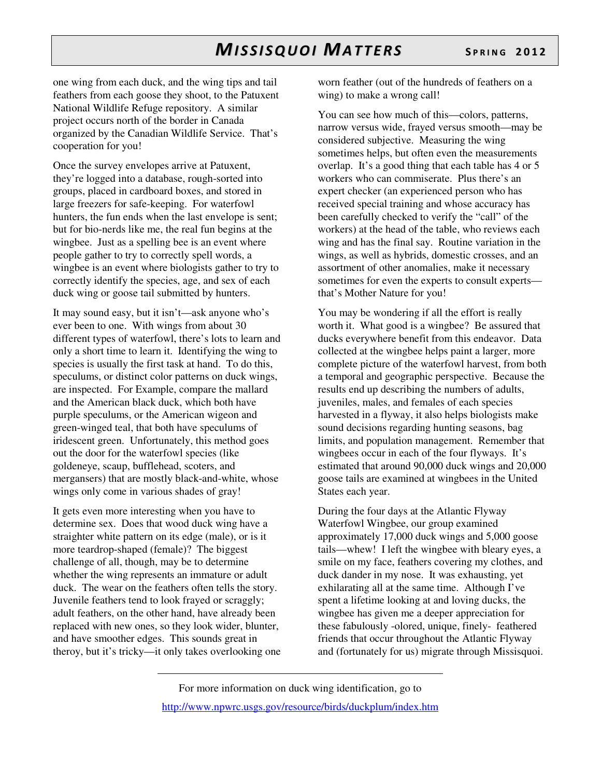one wing from each duck, and the wing tips and tail feathers from each goose they shoot, to the Patuxent National Wildlife Refuge repository. A similar project occurs north of the border in Canada organized by the Canadian Wildlife Service. That's cooperation for you!

Once the survey envelopes arrive at Patuxent, they're logged into a database, rough-sorted into groups, placed in cardboard boxes, and stored in large freezers for safe-keeping. For waterfowl hunters, the fun ends when the last envelope is sent; but for bio-nerds like me, the real fun begins at the wingbee. Just as a spelling bee is an event where people gather to try to correctly spell words, a wingbee is an event where biologists gather to try to correctly identify the species, age, and sex of each duck wing or goose tail submitted by hunters.

It may sound easy, but it isn't—ask anyone who's ever been to one. With wings from about 30 different types of waterfowl, there's lots to learn and only a short time to learn it. Identifying the wing to species is usually the first task at hand. To do this, speculums, or distinct color patterns on duck wings, are inspected. For Example, compare the mallard and the American black duck, which both have purple speculums, or the American wigeon and green-winged teal, that both have speculums of iridescent green. Unfortunately, this method goes out the door for the waterfowl species (like goldeneye, scaup, bufflehead, scoters, and mergansers) that are mostly black-and-white, whose wings only come in various shades of gray!

It gets even more interesting when you have to determine sex. Does that wood duck wing have a straighter white pattern on its edge (male), or is it more teardrop-shaped (female)? The biggest challenge of all, though, may be to determine whether the wing represents an immature or adult duck. The wear on the feathers often tells the story. Juvenile feathers tend to look frayed or scraggly; adult feathers, on the other hand, have already been replaced with new ones, so they look wider, blunter, and have smoother edges. This sounds great in theroy, but it's tricky—it only takes overlooking one worn feather (out of the hundreds of feathers on a wing) to make a wrong call!

You can see how much of this—colors, patterns, narrow versus wide, frayed versus smooth—may be considered subjective. Measuring the wing sometimes helps, but often even the measurements overlap. It's a good thing that each table has 4 or 5 workers who can commiserate. Plus there's an expert checker (an experienced person who has received special training and whose accuracy has been carefully checked to verify the "call" of the workers) at the head of the table, who reviews each wing and has the final say. Routine variation in the wings, as well as hybrids, domestic crosses, and an assortment of other anomalies, make it necessary sometimes for even the experts to consult experts that's Mother Nature for you!

You may be wondering if all the effort is really worth it. What good is a wingbee? Be assured that ducks everywhere benefit from this endeavor. Data collected at the wingbee helps paint a larger, more complete picture of the waterfowl harvest, from both a temporal and geographic perspective. Because the results end up describing the numbers of adults, juveniles, males, and females of each species harvested in a flyway, it also helps biologists make sound decisions regarding hunting seasons, bag limits, and population management. Remember that wingbees occur in each of the four flyways. It's estimated that around 90,000 duck wings and 20,000 goose tails are examined at wingbees in the United States each year.

During the four days at the Atlantic Flyway Waterfowl Wingbee, our group examined approximately 17,000 duck wings and 5,000 goose tails—whew! I left the wingbee with bleary eyes, a smile on my face, feathers covering my clothes, and duck dander in my nose. It was exhausting, yet exhilarating all at the same time. Although I've spent a lifetime looking at and loving ducks, the wingbee has given me a deeper appreciation for these fabulously -olored, unique, finely- feathered friends that occur throughout the Atlantic Flyway and (fortunately for us) migrate through Missisquoi.

For more information on duck wing identification, go to http://www.npwrc.usgs.gov/resource/birds/duckplum/index.htm